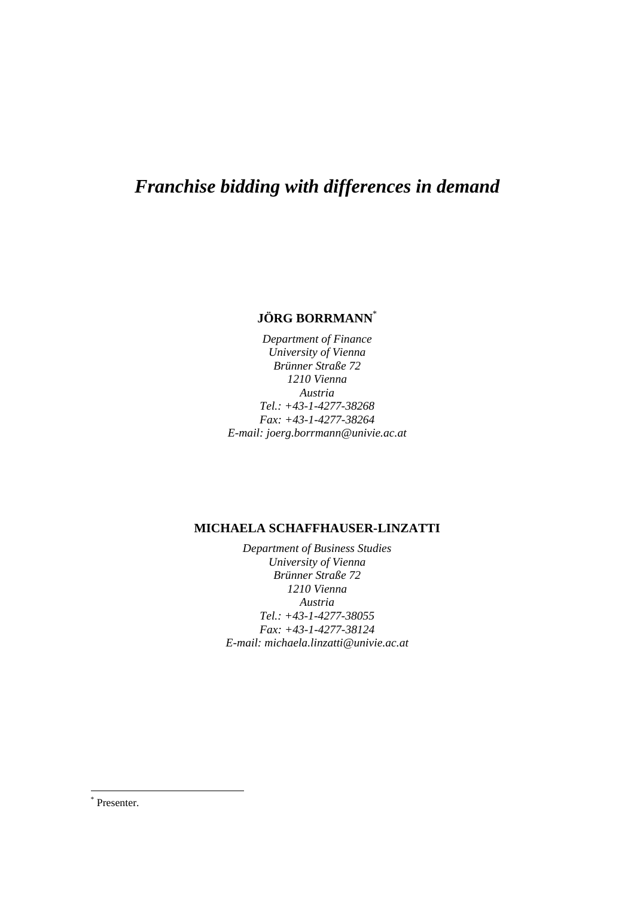# *Franchise bidding with differences in demand*

# **JÖRG BORRMANN**[\\*](#page-0-0)

*Department of Finance University of Vienna Brünner Straße 72 1210 Vienna Austria Tel.: +43-1-4277-38268 Fax: +43-1-4277-38264 E-mail: joerg.borrmann@univie.ac.at* 

# **MICHAELA SCHAFFHAUSER-LINZATTI**

*Department of Business Studies University of Vienna Brünner Straße 72 1210 Vienna Austria Tel.: +43-1-4277-38055 Fax: +43-1-4277-38124 E-mail: michaela.linzatti@univie.ac.at* 

 $\overline{a}$ 

<span id="page-0-0"></span><sup>\*</sup> Presenter.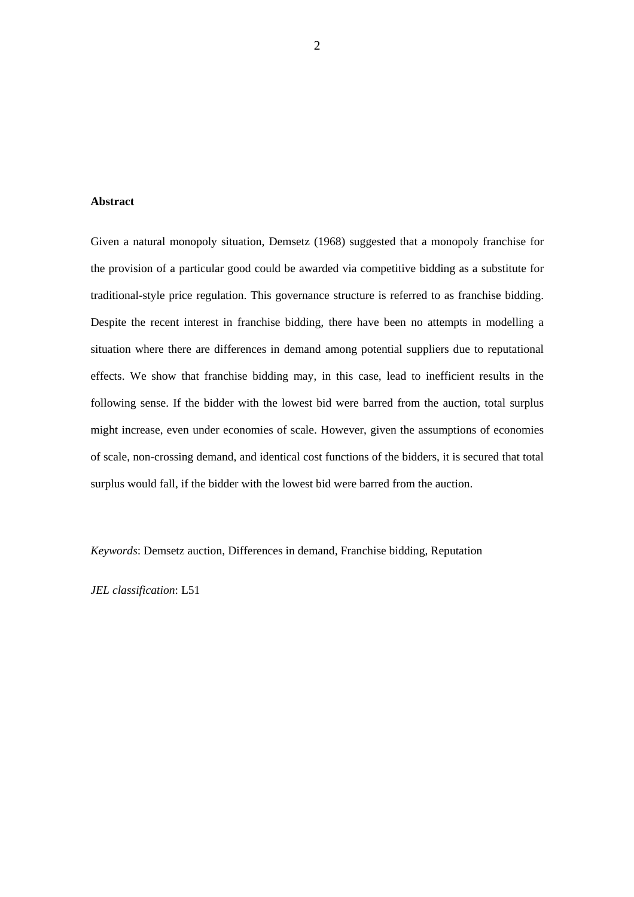### **Abstract**

Given a natural monopoly situation, Demsetz (1968) suggested that a monopoly franchise for the provision of a particular good could be awarded via competitive bidding as a substitute for traditional-style price regulation. This governance structure is referred to as franchise bidding. Despite the recent interest in franchise bidding, there have been no attempts in modelling a situation where there are differences in demand among potential suppliers due to reputational effects. We show that franchise bidding may, in this case, lead to inefficient results in the following sense. If the bidder with the lowest bid were barred from the auction, total surplus might increase, even under economies of scale. However, given the assumptions of economies of scale, non-crossing demand, and identical cost functions of the bidders, it is secured that total surplus would fall, if the bidder with the lowest bid were barred from the auction.

*Keywords*: Demsetz auction, Differences in demand, Franchise bidding, Reputation

*JEL classification*: L51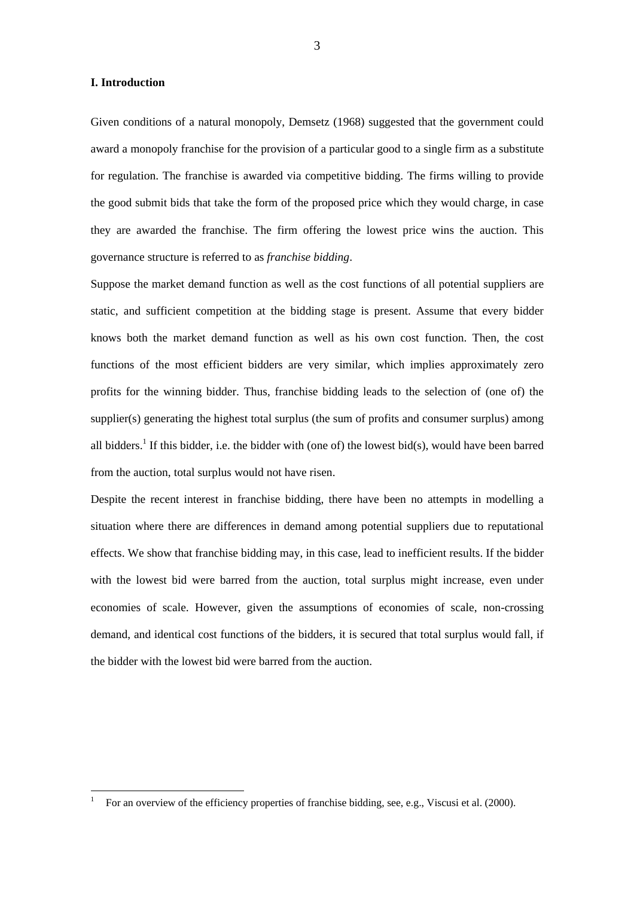#### **I. Introduction**

 $\overline{a}$ 

Given conditions of a natural monopoly, Demsetz (1968) suggested that the government could award a monopoly franchise for the provision of a particular good to a single firm as a substitute for regulation. The franchise is awarded via competitive bidding. The firms willing to provide the good submit bids that take the form of the proposed price which they would charge, in case they are awarded the franchise. The firm offering the lowest price wins the auction. This governance structure is referred to as *franchise bidding*.

Suppose the market demand function as well as the cost functions of all potential suppliers are static, and sufficient competition at the bidding stage is present. Assume that every bidder knows both the market demand function as well as his own cost function. Then, the cost functions of the most efficient bidders are very similar, which implies approximately zero profits for the winning bidder. Thus, franchise bidding leads to the selection of (one of) the supplier(s) generating the highest total surplus (the sum of profits and consumer surplus) among all bidders.<sup>[1](#page-2-0)</sup> If this bidder, i.e. the bidder with (one of) the lowest bid(s), would have been barred from the auction, total surplus would not have risen.

Despite the recent interest in franchise bidding, there have been no attempts in modelling a situation where there are differences in demand among potential suppliers due to reputational effects. We show that franchise bidding may, in this case, lead to inefficient results. If the bidder with the lowest bid were barred from the auction, total surplus might increase, even under economies of scale. However, given the assumptions of economies of scale, non-crossing demand, and identical cost functions of the bidders, it is secured that total surplus would fall, if the bidder with the lowest bid were barred from the auction.

<span id="page-2-0"></span><sup>1</sup> For an overview of the efficiency properties of franchise bidding, see, e.g., Viscusi et al. (2000).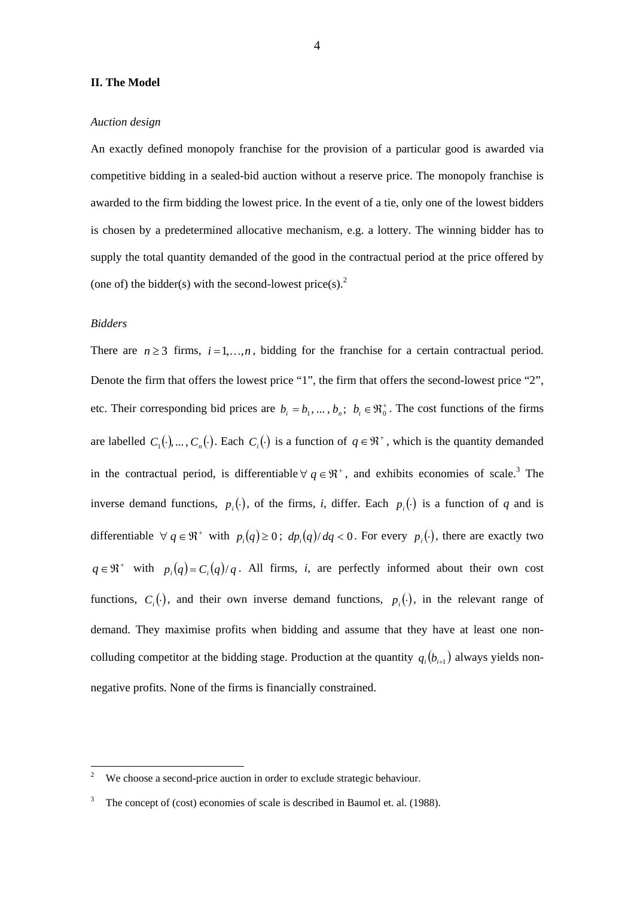#### **II. The Model**

#### *Auction design*

An exactly defined monopoly franchise for the provision of a particular good is awarded via competitive bidding in a sealed-bid auction without a reserve price. The monopoly franchise is awarded to the firm bidding the lowest price. In the event of a tie, only one of the lowest bidders is chosen by a predetermined allocative mechanism, e.g. a lottery. The winning bidder has to supply the total quantity demanded of the good in the contractual period at the price offered by (one of) the bidder(s) with the second-lowest price(s).<sup>[2](#page-3-0)</sup>

## *Bidders*

There are  $n \ge 3$  firms,  $i = 1,...,n$ , bidding for the franchise for a certain contractual period. Denote the firm that offers the lowest price "1", the firm that offers the second-lowest price "2", etc. Their corresponding bid prices are  $b_i = b_1, ..., b_n$ ;  $b_i \in \mathbb{R}_0^+$ . The cost functions of the firms are labelled  $C_1(\cdot), \ldots, C_n(\cdot)$ . Each  $C_i(\cdot)$  is a function of  $q \in \mathfrak{R}^+$ , which is the quantity demanded in the contractual period, is differentiable  $\forall q \in \mathbb{R}^+$ , and exhibits economies of scale.<sup>[3](#page-3-1)</sup> The inverse demand functions,  $p_i(\cdot)$ , of the firms, *i*, differ. Each  $p_i(\cdot)$  is a function of *q* and is differentiable  $\forall q \in \mathbb{R}^+$  with  $p_i(q) \geq 0$ ;  $dp_i(q)/dq < 0$ . For every  $p_i(\cdot)$ , there are exactly two  $q \in \mathbb{R}^+$  with  $p_i(q) = C_i(q)/q$ . All firms, *i*, are perfectly informed about their own cost functions,  $C_i(\cdot)$ , and their own inverse demand functions,  $p_i(\cdot)$ , in the relevant range of demand. They maximise profits when bidding and assume that they have at least one noncolluding competitor at the bidding stage. Production at the quantity  $q_i(b_{i+1})$  always yields nonnegative profits. None of the firms is financially constrained.

<span id="page-3-0"></span> $\frac{1}{2}$ We choose a second-price auction in order to exclude strategic behaviour.

<span id="page-3-1"></span><sup>3</sup> The concept of (cost) economies of scale is described in Baumol et. al. (1988).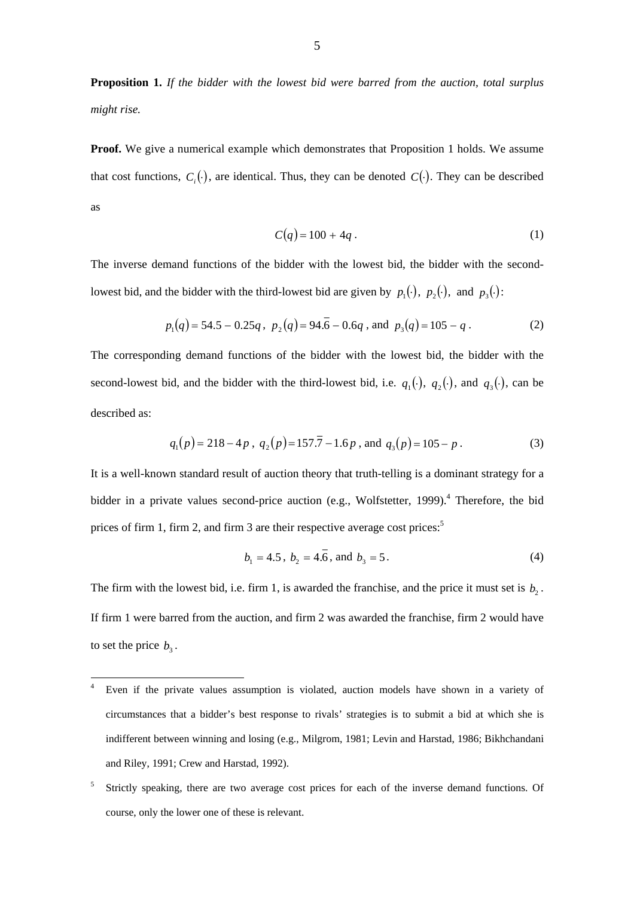**Proposition 1.** *If the bidder with the lowest bid were barred from the auction, total surplus might rise.* 

**Proof.** We give a numerical example which demonstrates that Proposition 1 holds. We assume that cost functions,  $C_i(\cdot)$ , are identical. Thus, they can be denoted  $C(\cdot)$ . They can be described as

$$
C(q) = 100 + 4q \tag{1}
$$

The inverse demand functions of the bidder with the lowest bid, the bidder with the secondlowest bid, and the bidder with the third-lowest bid are given by  $p_1(\cdot)$ ,  $p_2(\cdot)$ , and  $p_3(\cdot)$ :

$$
p_1(q) = 54.5 - 0.25q
$$
,  $p_2(q) = 94.6 - 0.6q$ , and  $p_3(q) = 105 - q$ . (2)

The corresponding demand functions of the bidder with the lowest bid, the bidder with the second-lowest bid, and the bidder with the third-lowest bid, i.e.  $q_1(\cdot)$ ,  $q_2(\cdot)$ , and  $q_3(\cdot)$ , can be described as:

$$
q_1(p) = 218 - 4p
$$
,  $q_2(p) = 157.7 - 1.6p$ , and  $q_3(p) = 105 - p$ . (3)

It is a well-known standard result of auction theory that truth-telling is a dominant strategy for a bidder in a private values second-price auction (e.g., Wolfstetter, 1999).<sup>4</sup> Therefore, the bid prices of firm 1, firm 2, and firm 3 are their respective average cost prices:<sup>5</sup>

$$
b_1 = 4.5, b_2 = 4.\overline{6}, \text{ and } b_3 = 5. \tag{4}
$$

The firm with the lowest bid, i.e. firm 1, is awarded the franchise, and the price it must set is  $b_2$ . If firm 1 were barred from the auction, and firm 2 was awarded the franchise, firm 2 would have to set the price  $b_3$ .

<span id="page-4-0"></span> $\overline{4}$ Even if the private values assumption is violated, auction models have shown in a variety of circumstances that a bidder's best response to rivals' strategies is to submit a bid at which she is indifferent between winning and losing (e.g., Milgrom, 1981; Levin and Harstad, 1986; Bikhchandani and Riley, 1991; Crew and Harstad, 1992).

<span id="page-4-1"></span><sup>5</sup> Strictly speaking, there are two average cost prices for each of the inverse demand functions. Of course, only the lower one of these is relevant.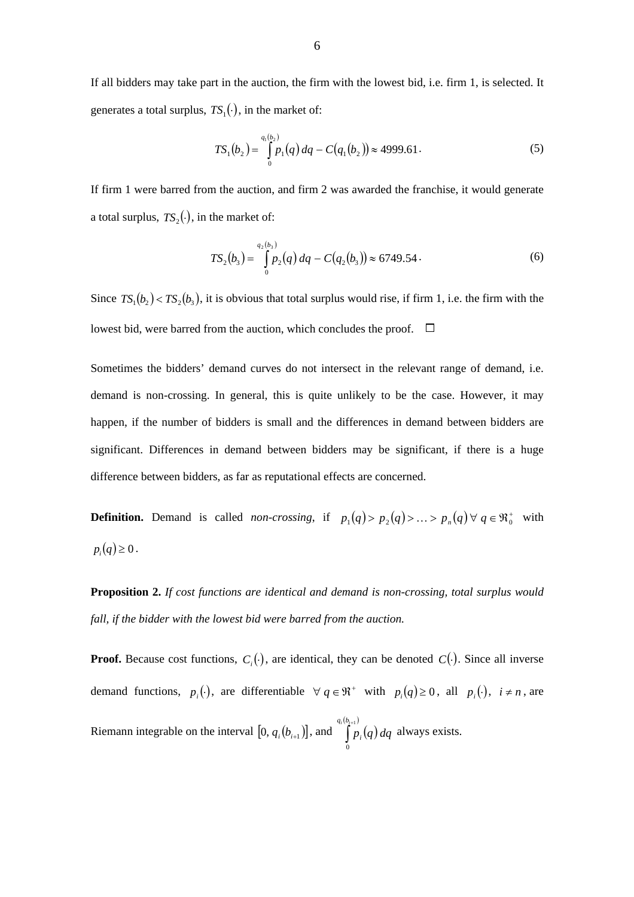If all bidders may take part in the auction, the firm with the lowest bid, i.e. firm 1, is selected. It generates a total surplus,  $TS_1(\cdot)$ , in the market of:

$$
TS_1(b_2) = \int_{0}^{q_1(b_2)} p_1(q) dq - C(q_1(b_2)) \approx 4999.61.
$$
 (5)

If firm 1 were barred from the auction, and firm 2 was awarded the franchise, it would generate a total surplus,  $TS_2(.)$ , in the market of:

$$
TS_2(b_3) = \int_{0}^{q_2(b_3)} p_2(q) dq - C(q_2(b_3)) \approx 6749.54.
$$
 (6)

Since  $TS_1(b_2) < TS_2(b_3)$ , it is obvious that total surplus would rise, if firm 1, i.e. the firm with the lowest bid, were barred from the auction, which concludes the proof.  $\Box$ 

Sometimes the bidders' demand curves do not intersect in the relevant range of demand, i.e. demand is non-crossing. In general, this is quite unlikely to be the case. However, it may happen, if the number of bidders is small and the differences in demand between bidders are significant. Differences in demand between bidders may be significant, if there is a huge difference between bidders, as far as reputational effects are concerned.

**Definition.** Demand is called *non-crossing*, if  $p_1(q) > p_2(q) > ... > p_n(q) \forall q \in \mathbb{R}^+$  with  $p_i(q) \geq 0$ .

**Proposition 2.** *If cost functions are identical and demand is non-crossing, total surplus would fall, if the bidder with the lowest bid were barred from the auction.* 

**Proof.** Because cost functions,  $C_i(\cdot)$ , are identical, they can be denoted  $C(\cdot)$ . Since all inverse demand functions,  $p_i(\cdot)$ , are differentiable  $\forall q \in \mathbb{R}^+$  with  $p_i(q) \geq 0$ , all  $p_i(\cdot)$ ,  $i \neq n$ , are Riemann integrable on the interval  $[0, q_i(b_{i+1})]$ , and  $[p_i(q)]$  $(b_{i+1})$  $\int^{\nu_{i+1}}$ 0  $q_i (b_i$  $p_i(q) dq$  always exists.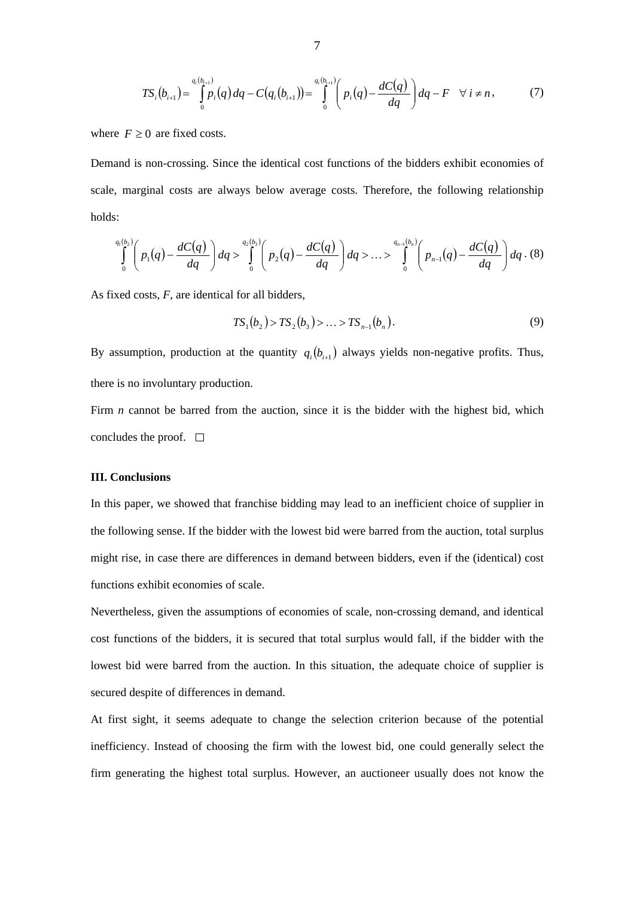$$
TS_i(b_{i+1}) = \int_0^{q_i(b_{i+1})} p_i(q) dq - C(q_i(b_{i+1})) = \int_0^{q_i(b_{i+1})} \left( p_i(q) - \frac{dC(q)}{dq} \right) dq - F \quad \forall \ i \neq n,
$$
 (7)

where  $F \geq 0$  are fixed costs.

Demand is non-crossing. Since the identical cost functions of the bidders exhibit economies of scale, marginal costs are always below average costs. Therefore, the following relationship holds:

$$
\int_{0}^{q_1(b_2)} \left( p_1(q) - \frac{dC(q)}{dq} \right) dq > \int_{0}^{q_2(b_3)} \left( p_2(q) - \frac{dC(q)}{dq} \right) dq > ... > \int_{0}^{q_{n-1}(b_n)} \left( p_{n-1}(q) - \frac{dC(q)}{dq} \right) dq. (8)
$$

As fixed costs, *F*, are identical for all bidders,

$$
TS_1(b_2) > TS_2(b_3) > ... > TS_{n-1}(b_n).
$$
 (9)

By assumption, production at the quantity  $q_i ( b_{i+1} )$  always yields non-negative profits. Thus, there is no involuntary production.

Firm *n* cannot be barred from the auction, since it is the bidder with the highest bid, which concludes the proof.  $\square$ 

#### **III. Conclusions**

In this paper, we showed that franchise bidding may lead to an inefficient choice of supplier in the following sense. If the bidder with the lowest bid were barred from the auction, total surplus might rise, in case there are differences in demand between bidders, even if the (identical) cost functions exhibit economies of scale.

Nevertheless, given the assumptions of economies of scale, non-crossing demand, and identical cost functions of the bidders, it is secured that total surplus would fall, if the bidder with the lowest bid were barred from the auction. In this situation, the adequate choice of supplier is secured despite of differences in demand.

At first sight, it seems adequate to change the selection criterion because of the potential inefficiency. Instead of choosing the firm with the lowest bid, one could generally select the firm generating the highest total surplus. However, an auctioneer usually does not know the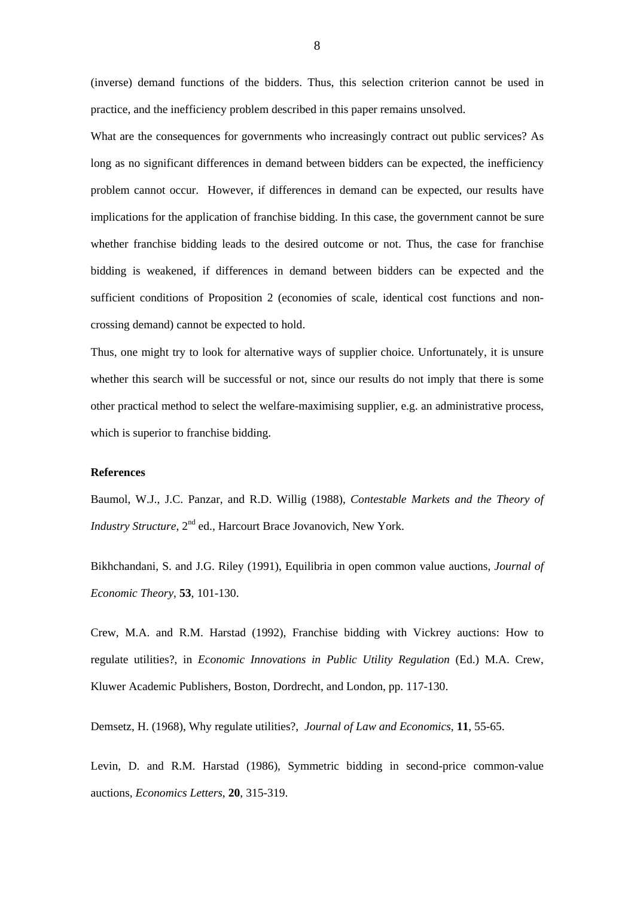(inverse) demand functions of the bidders. Thus, this selection criterion cannot be used in practice, and the inefficiency problem described in this paper remains unsolved.

What are the consequences for governments who increasingly contract out public services? As long as no significant differences in demand between bidders can be expected, the inefficiency problem cannot occur. However, if differences in demand can be expected, our results have implications for the application of franchise bidding. In this case, the government cannot be sure whether franchise bidding leads to the desired outcome or not. Thus, the case for franchise bidding is weakened, if differences in demand between bidders can be expected and the sufficient conditions of Proposition 2 (economies of scale, identical cost functions and noncrossing demand) cannot be expected to hold.

Thus, one might try to look for alternative ways of supplier choice. Unfortunately, it is unsure whether this search will be successful or not, since our results do not imply that there is some other practical method to select the welfare-maximising supplier, e.g. an administrative process, which is superior to franchise bidding.

#### **References**

Baumol, W.J., J.C. Panzar, and R.D. Willig (1988), *Contestable Markets and the Theory of Industry Structure*, 2<sup>nd</sup> ed., Harcourt Brace Jovanovich, New York.

Bikhchandani, S. and J.G. Riley (1991), Equilibria in open common value auctions, *Journal of Economic Theory*, **53**, 101-130.

Crew, M.A. and R.M. Harstad (1992), Franchise bidding with Vickrey auctions: How to regulate utilities?, in *Economic Innovations in Public Utility Regulation* (Ed.) M.A. Crew, Kluwer Academic Publishers, Boston, Dordrecht, and London, pp. 117-130.

Demsetz, H. (1968), Why regulate utilities?, *Journal of Law and Economics*, **11**, 55-65.

Levin, D. and R.M. Harstad (1986), Symmetric bidding in second-price common-value auctions, *Economics Letters*, **20**, 315-319.